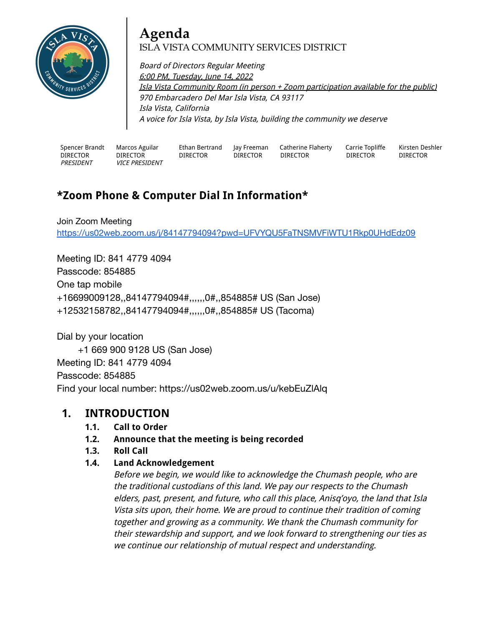

# **Agenda** ISLA VISTA COMMUNITY SERVICES DISTRICT

Board of Directors Regular Meeting 6:00 PM, Tuesday, June 14, 2022 Isla Vista Community Room (in person <sup>+</sup> Zoom participation available for the public) 970 Embarcadero Del Mar Isla Vista, CA 93117 Isla Vista, California A voice for Isla Vista, by Isla Vista, building the community we deserve

Spencer Brandt DIRECTOR PRESIDENT

Marcos Aguilar DIRECTOR VICE PRESIDENT Ethan Bertrand DIRECTOR

Jay Freeman DIRECTOR Catherine Flaherty DIRECTOR

Carrie Topliffe DIRECTOR

Kirsten Deshler DIRECTOR

# **\*Zoom Phone & Computer Dial In Information\***

Join Zoom Meeting <https://us02web.zoom.us/j/84147794094?pwd=UFVYQU5FaTNSMVFiWTU1Rkp0UHdEdz09>

Meeting ID: 841 4779 4094 Passcode: 854885 One tap mobile +16699009128,,84147794094#,,,,,,0#,,854885# US (San Jose) +12532158782,,84147794094#,,,,,,0#,,854885# US (Tacoma)

Dial by your location

+1 669 900 9128 US (San Jose) Meeting ID: 841 4779 4094 Passcode: 854885 Find your local number: https://us02web.zoom.us/u/kebEuZlAlq

### **1. INTRODUCTION**

- **1.1. Call to Order**
- **1.2. Announce that the meeting is being recorded**
- **1.3. Roll Call**

#### **1.4. Land Acknowledgement**

Before we begin, we would like to acknowledge the Chumash people, who are the traditional custodians of this land. We pay our respects to the Chumash elders, past, present, and future, who call this place, Anisq'oyo, the land that Isla Vista sits upon, their home. We are proud to continue their tradition of coming together and growing as <sup>a</sup> community. We thank the Chumash community for their stewardship and support, and we look forward to strengthening our ties as we continue our relationship of mutual respect and understanding.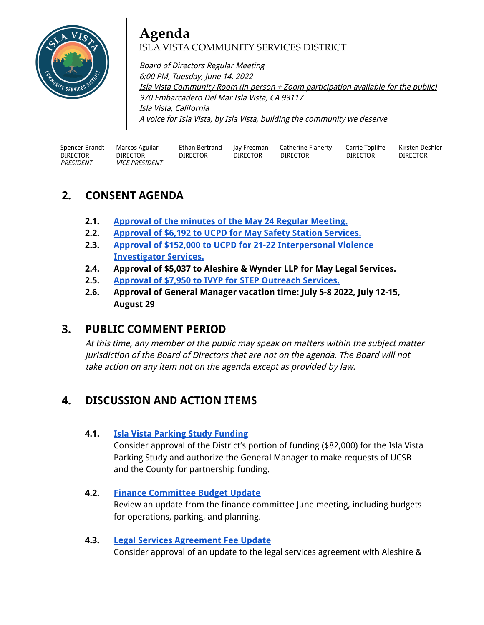

# **Agenda** ISLA VISTA COMMUNITY SERVICES DISTRICT

Board of Directors Regular Meeting 6:00 PM, Tuesday, June 14, 2022 Isla Vista Community Room (in person <sup>+</sup> Zoom participation available for the public) 970 Embarcadero Del Mar Isla Vista, CA 93117 Isla Vista, California A voice for Isla Vista, by Isla Vista, building the community we deserve

| Spencer Brandt   | Marcos Aguilar        | Ethan Bertrand  | lay Freeman     | Catherine Flaherty | Carrie Topliffe | Kirsten Deshler |
|------------------|-----------------------|-----------------|-----------------|--------------------|-----------------|-----------------|
| DIRECTOR         | DIRECTOR              | <b>DIRECTOR</b> | <b>DIRECTOR</b> | <b>DIRECTOR</b>    | <b>DIRECTOR</b> | <b>DIRECTOR</b> |
| <i>PRESIDENT</i> | <i>VICE PRESIDENT</i> |                 |                 |                    |                 |                 |

### **2. CONSENT AGENDA**

- **2.1. [Approval](https://docs.google.com/document/d/1OHSFasXr1Nrl9XwUn7mwEkE_lmC_RuOKYLCAzh1Tlww/edit?usp=sharing) of the minutes of the May 24 Regular Meeting.**
- **2.2. [Approval](https://drive.google.com/file/d/1Opjp2NyETfbvHXHbn4n6quNt7THXCCXb/view?usp=sharing) of \$6,192 to UCPD for May Safety Station Services.**
- **2.3. Approval of \$152,000 to UCPD for 21-22 [Interpersonal](https://drive.google.com/drive/folders/1i_P1LYD1Z-klUR-bf4veA-aruNREisIb?usp=sharing) Violence [Investigator](https://drive.google.com/drive/folders/1i_P1LYD1Z-klUR-bf4veA-aruNREisIb?usp=sharing) Services.**
- **2.4. Approval of \$5,037 to Aleshire & Wynder LLP for May Legal Services.**
- **2.5. Approval of \$7,950 to IVYP for STEP [Outreach](https://docs.google.com/document/d/13nKFYPuigU7f6ob-gxfaLiiCmLD7XwEN/edit?usp=sharing&ouid=100921935070786241159&rtpof=true&sd=true) Services.**
- **2.6. Approval of General Manager vacation time: July 5-8 2022, July 12-15, August 29**

### **3. PUBLIC COMMENT PERIOD**

At this time, any member of the public may speak on matters within the subject matter jurisdiction of the Board of Directors that are not on the agenda. The Board will not take action on any item not on the agenda except as provided by law.

### **4. DISCUSSION AND ACTION ITEMS**

#### **4.1. Isla Vista Parking Study [Funding](https://drive.google.com/drive/folders/1yiO9ScR6TD05GnmpiX3BPxLzseOW1D5O?usp=sharing)**

Consider approval of the District's portion of funding (\$82,000) for the Isla Vista Parking Study and authorize the General Manager to make requests of UCSB and the County for partnership funding.

#### **4.2. Finance [Committee](https://docs.google.com/spreadsheets/d/1h1eaffTuQxr7qKkiaTR4YuZTO5ItQQjl37Rhxkwc1IM/edit?usp=sharing) Budget Update**

Review an update from the finance committee June meeting, including budgets for operations, parking, and planning.

#### **4.3. Legal Services [Agreement](https://docs.google.com/document/d/1-I5g7s8i6TFmwhl45tECR0I3EDxPHhVh/edit?usp=sharing&ouid=100921935070786241159&rtpof=true&sd=true) Fee Update**

Consider approval of an update to the legal services agreement with Aleshire &